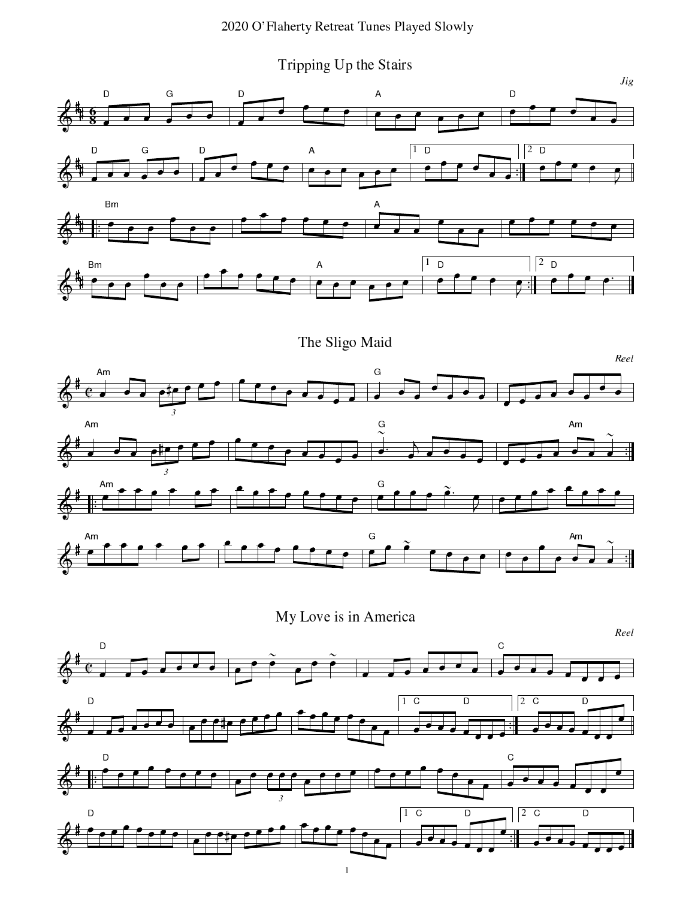Tripping Up the Stairs





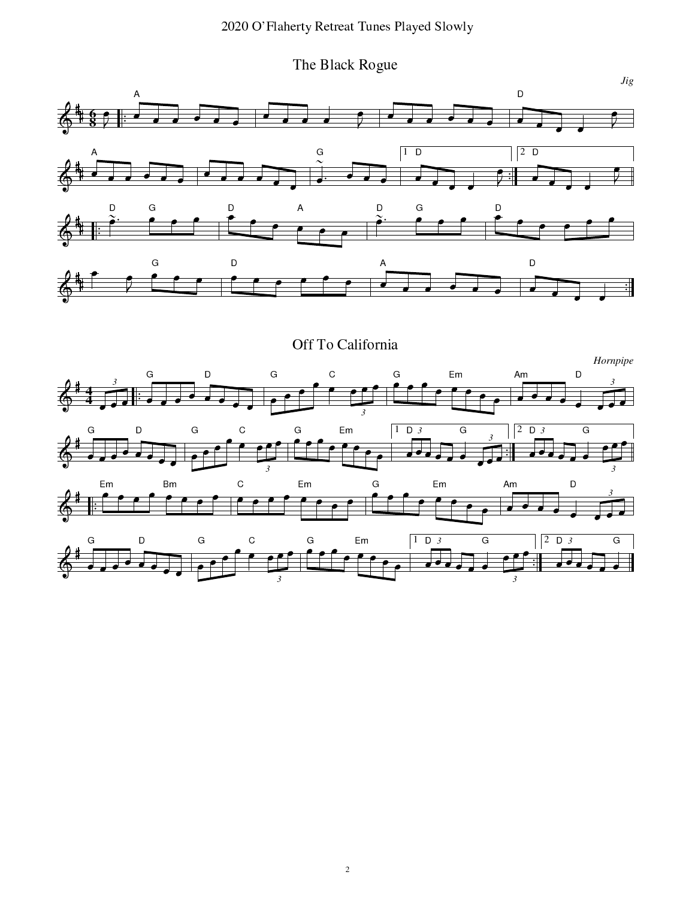#### --- 
--- - ! "-#\$

&3 4T`aE-78]cbXdaG . e <sup>4</sup>

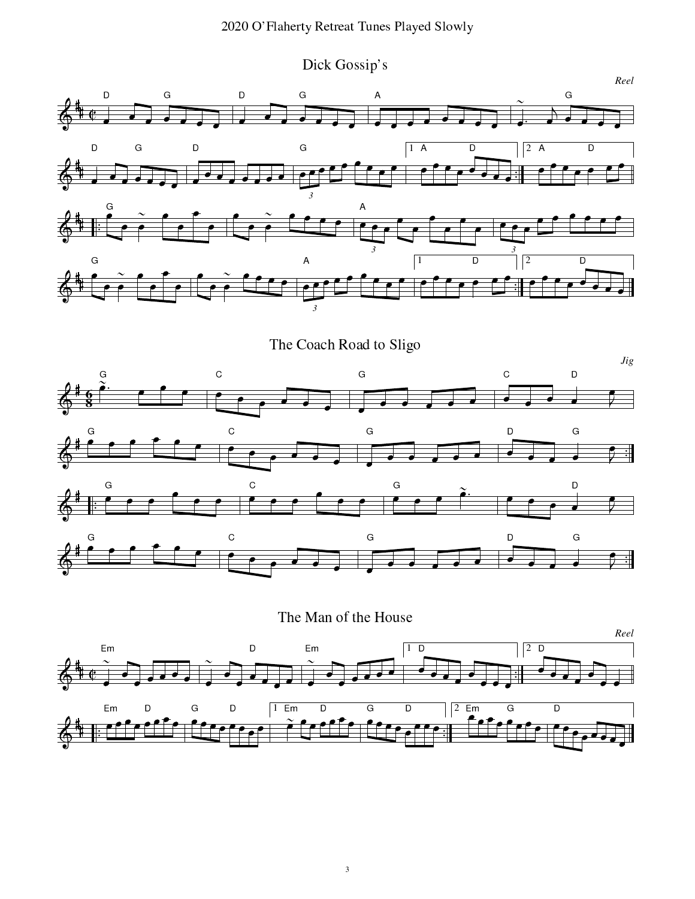Dick Gossip's



The Coach Road to Sligo



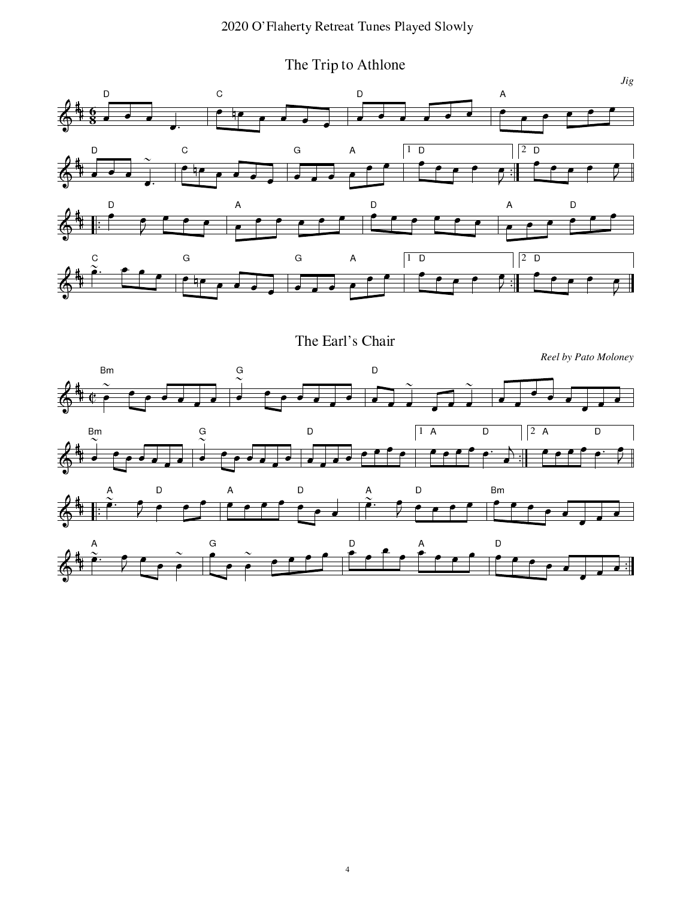The Trip to Athlone





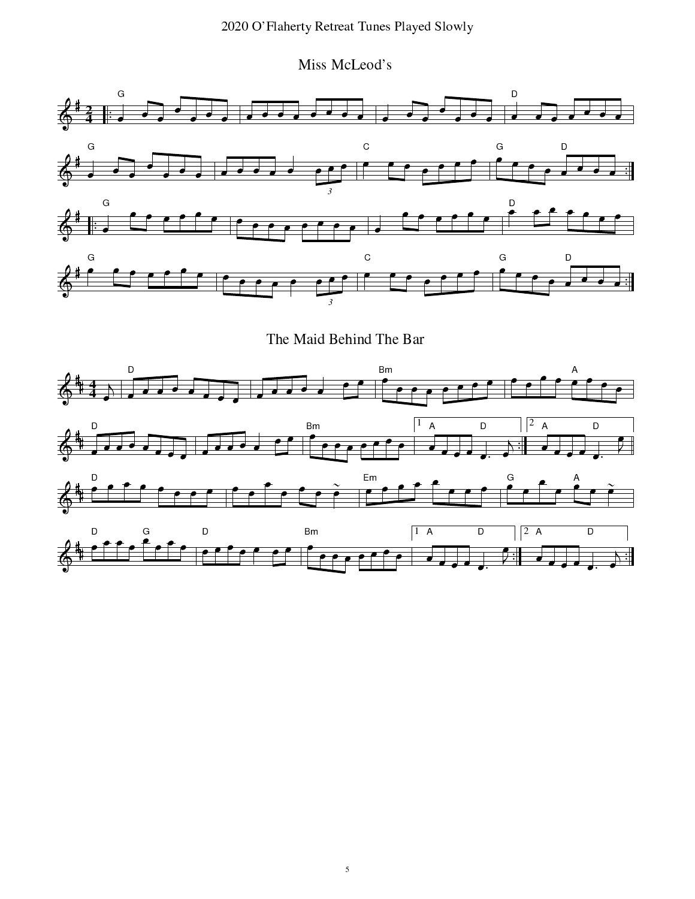#### --- 
--- - ! "-#\$

HI(x9n9vHI]cRh48G JVo\9



The Maid Behind The Bar

![](_page_4_Figure_4.jpeg)